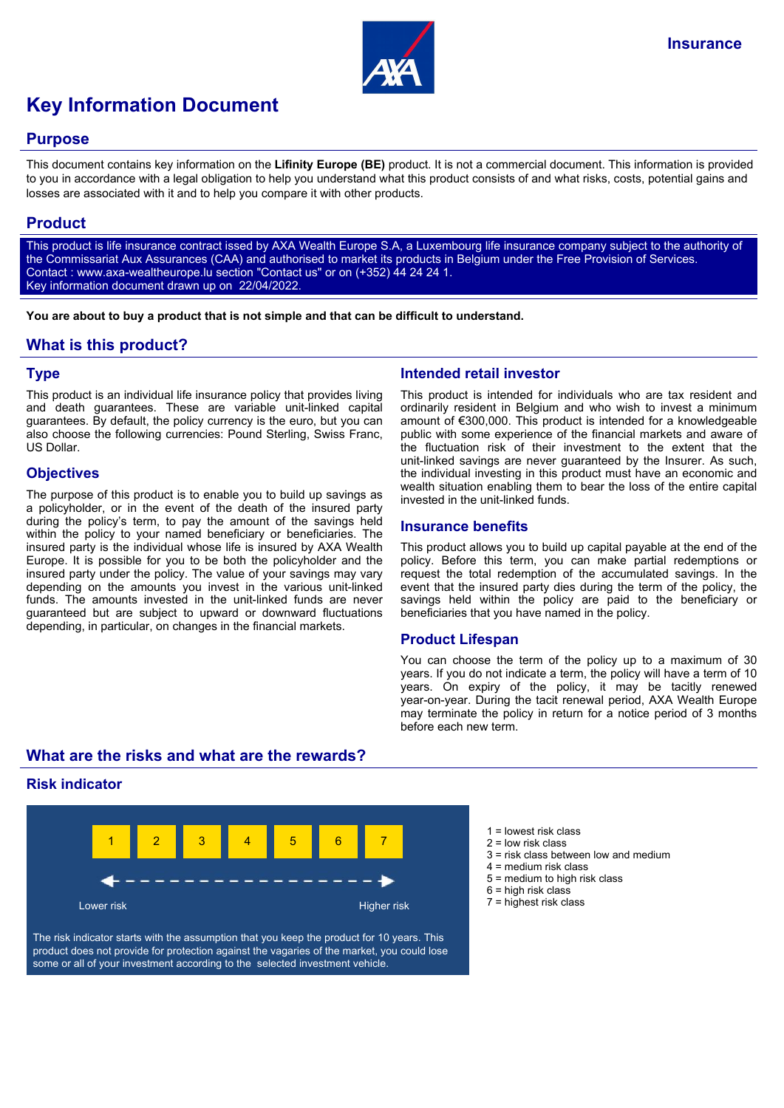

# **Key Information Document**

### **Purpose**

This document contains key information on the **Lifinity Europe (BE)** product. It is not a commercial document. This information is provided to you in accordance with a legal obligation to help you understand what this product consists of and what risks, costs, potential gains and losses are associated with it and to help you compare it with other products.

## **Product**

This product is life insurance contract issed by AXA Wealth Europe S.A, a Luxembourg life insurance company subject to the authority of the Commissariat Aux Assurances (CAA) and authorised to market its products in Belgium under the Free Provision of Services. Contact : www.axa-wealtheurope.lu section "Contact us" or on (+352) 44 24 24 1. Key information document drawn up on 22/04/2022.

**You are about to buy a product that is not simple and that can be difficult to understand.**

## **What is this product?**

#### **Type**

This product is an individual life insurance policy that provides living and death guarantees. These are variable unit-linked capital guarantees. By default, the policy currency is the euro, but you can also choose the following currencies: Pound Sterling, Swiss Franc, US Dollar.

#### **Objectives**

The purpose of this product is to enable you to build up savings as a policyholder, or in the event of the death of the insured party during the policy's term, to pay the amount of the savings held within the policy to your named beneficiary or beneficiaries. The insured party is the individual whose life is insured by AXA Wealth Europe. It is possible for you to be both the policyholder and the insured party under the policy. The value of your savings may vary depending on the amounts you invest in the various unit-linked funds. The amounts invested in the unit-linked funds are never guaranteed but are subject to upward or downward fluctuations depending, in particular, on changes in the financial markets.

## **Intended retail investor**

This product is intended for individuals who are tax resident and ordinarily resident in Belgium and who wish to invest a minimum amount of €300,000. This product is intended for a knowledgeable public with some experience of the financial markets and aware of the fluctuation risk of their investment to the extent that the unit-linked savings are never guaranteed by the Insurer. As such, the individual investing in this product must have an economic and wealth situation enabling them to bear the loss of the entire capital invested in the unit-linked funds.

#### **Insurance benefits**

This product allows you to build up capital payable at the end of the policy. Before this term, you can make partial redemptions or request the total redemption of the accumulated savings. In the event that the insured party dies during the term of the policy, the savings held within the policy are paid to the beneficiary or beneficiaries that you have named in the policy.

#### **Product Lifespan**

You can choose the term of the policy up to a maximum of 30 years. If you do not indicate a term, the policy will have a term of 10 years. On expiry of the policy, it may be tacitly renewed year-on-year. During the tacit renewal period, AXA Wealth Europe may terminate the policy in return for a notice period of 3 months before each new term.

# **What are the risks and what are the rewards?**

## **Risk indicator**



The risk indicator starts with the assumption that you keep the product for 10 years. This product does not provide for protection against the vagaries of the market, you could lose some or all of your investment according to the selected investment vehicle.

- $1 =$  lowest risk class
- 2 = low risk class
- $3$  = risk class between low and medium
- 4 = medium risk class
- 5 = medium to high risk class
- $6$  = high risk class
- 7 = highest risk class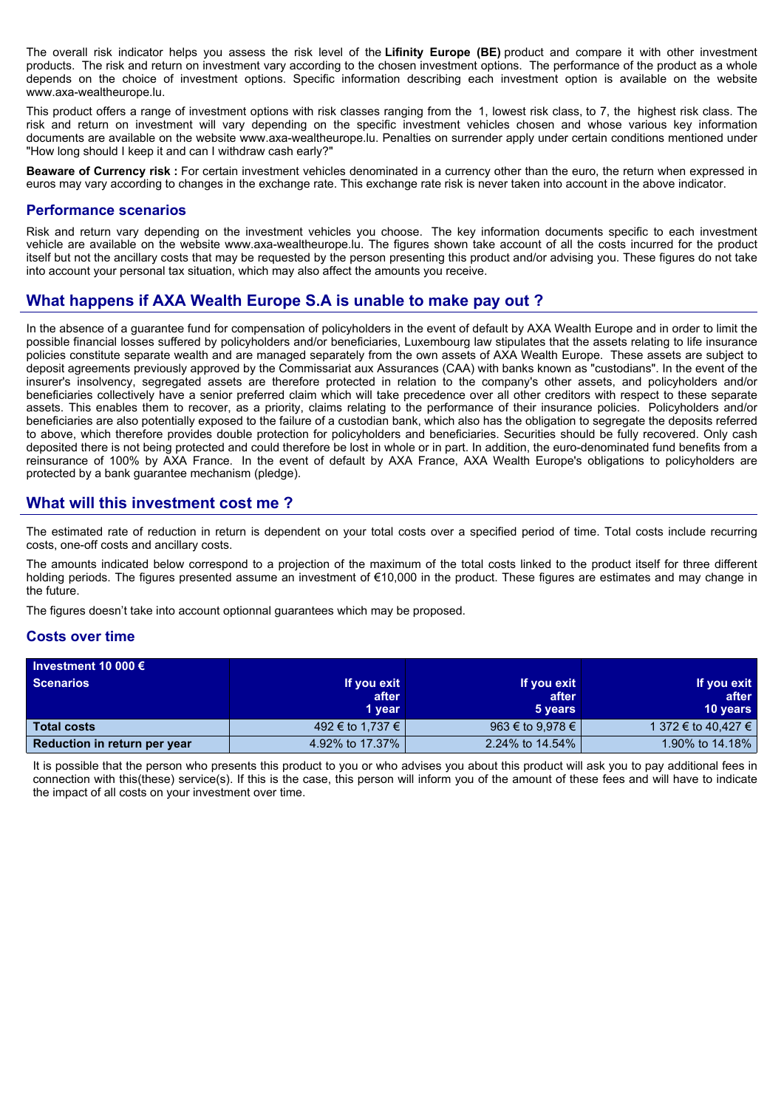The overall risk indicator helps you assess the risk level of the **Lifinity Europe (BE)** product and compare it with other investment products. The risk and return on investment vary according to the chosen investment options. The performance of the product as a whole depends on the choice of investment options. Specific information describing each investment option is available on the website www.axa-wealtheurope.lu.

This product offers a range of investment options with risk classes ranging from the 1, lowest risk class, to 7, the highest risk class. The risk and return on investment will vary depending on the specific investment vehicles chosen and whose various key information documents are available on the website www.axa-wealtheurope.lu. Penalties on surrender apply under certain conditions mentioned under "How long should I keep it and can I withdraw cash early?"

**Beaware of Currency risk :** For certain investment vehicles denominated in a currency other than the euro, the return when expressed in euros may vary according to changes in the exchange rate. This exchange rate risk is never taken into account in the above indicator.

#### **Performance scenarios**

Risk and return vary depending on the investment vehicles you choose. The key information documents specific to each investment vehicle are available on the website www.axa-wealtheurope.lu. The figures shown take account of all the costs incurred for the product itself but not the ancillary costs that may be requested by the person presenting this product and/or advising you. These figures do not take into account your personal tax situation, which may also affect the amounts you receive.

# **What happens if AXA Wealth Europe S.A is unable to make pay out ?**

In the absence of a guarantee fund for compensation of policyholders in the event of default by AXA Wealth Europe and in order to limit the possible financial losses suffered by policyholders and/or beneficiaries, Luxembourg law stipulates that the assets relating to life insurance policies constitute separate wealth and are managed separately from the own assets of AXA Wealth Europe. These assets are subject to deposit agreements previously approved by the Commissariat aux Assurances (CAA) with banks known as "custodians". In the event of the insurer's insolvency, segregated assets are therefore protected in relation to the company's other assets, and policyholders and/or beneficiaries collectively have a senior preferred claim which will take precedence over all other creditors with respect to these separate assets. This enables them to recover, as a priority, claims relating to the performance of their insurance policies. Policyholders and/or beneficiaries are also potentially exposed to the failure of a custodian bank, which also has the obligation to segregate the deposits referred to above, which therefore provides double protection for policyholders and beneficiaries. Securities should be fully recovered. Only cash deposited there is not being protected and could therefore be lost in whole or in part. In addition, the euro-denominated fund benefits from a reinsurance of 100% by AXA France. In the event of default by AXA France, AXA Wealth Europe's obligations to policyholders are protected by a bank guarantee mechanism (pledge).

## **What will this investment cost me ?**

The estimated rate of reduction in return is dependent on your total costs over a specified period of time. Total costs include recurring costs, one-off costs and ancillary costs.

The amounts indicated below correspond to a projection of the maximum of the total costs linked to the product itself for three different holding periods. The figures presented assume an investment of €10,000 in the product. These figures are estimates and may change in the future.

The figures doesn't take into account optionnal guarantees which may be proposed.

#### **Costs over time**

| Investment 10 000 $\epsilon$ |                  |                  |                     |
|------------------------------|------------------|------------------|---------------------|
| <b>Scenarios</b>             | If you exit      | If you exit      | If you exit         |
|                              | after            | after            | after               |
|                              | 1 year           | 5 years          | <b>10 years</b>     |
| <b>Total costs</b>           | 492 € to 1,737 € | 963 € to 9,978 € | 1 372 € to 40,427 € |
| Reduction in return per year | 4.92% to 17.37%  | 2.24% to 14.54%  | 1.90% to 14.18%     |

It is possible that the person who presents this product to you or who advises you about this product will ask you to pay additional fees in connection with this(these) service(s). If this is the case, this person will inform you of the amount of these fees and will have to indicate the impact of all costs on your investment over time.